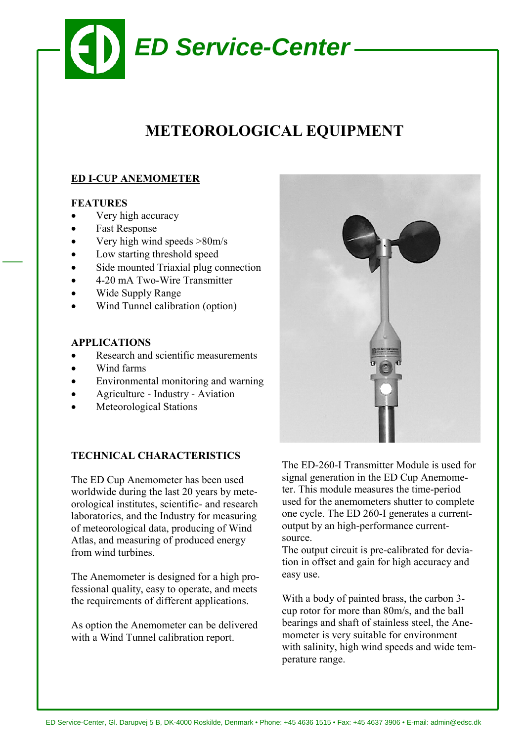

# **METEOROLOGICAL EQUIPMENT**

# **ED I-CUP ANEMOMETER**

#### **FEATURES**

- Very high accuracy
- Fast Response
- Very high wind speeds >80m/s
- Low starting threshold speed
- Side mounted Triaxial plug connection
- 4-20 mA Two-Wire Transmitter
- Wide Supply Range
- Wind Tunnel calibration (option)

#### **APPLICATIONS**

- Research and scientific measurements
- Wind farms
- Environmental monitoring and warning
- Agriculture Industry Aviation
- Meteorological Stations

## **TECHNICAL CHARACTERISTICS**

The ED Cup Anemometer has been used worldwide during the last 20 years by meteorological institutes, scientific- and research laboratories, and the Industry for measuring of meteorological data, producing of Wind Atlas, and measuring of produced energy from wind turbines.

The Anemometer is designed for a high professional quality, easy to operate, and meets the requirements of different applications.

As option the Anemometer can be delivered with a Wind Tunnel calibration report.



The ED-260-I Transmitter Module is used for signal generation in the ED Cup Anemometer. This module measures the time-period used for the anemometers shutter to complete one cycle. The ED 260-I generates a currentoutput by an high-performance currentsource.

The output circuit is pre-calibrated for deviation in offset and gain for high accuracy and easy use.

With a body of painted brass, the carbon 3 cup rotor for more than 80m/s, and the ball bearings and shaft of stainless steel, the Anemometer is very suitable for environment with salinity, high wind speeds and wide temperature range.